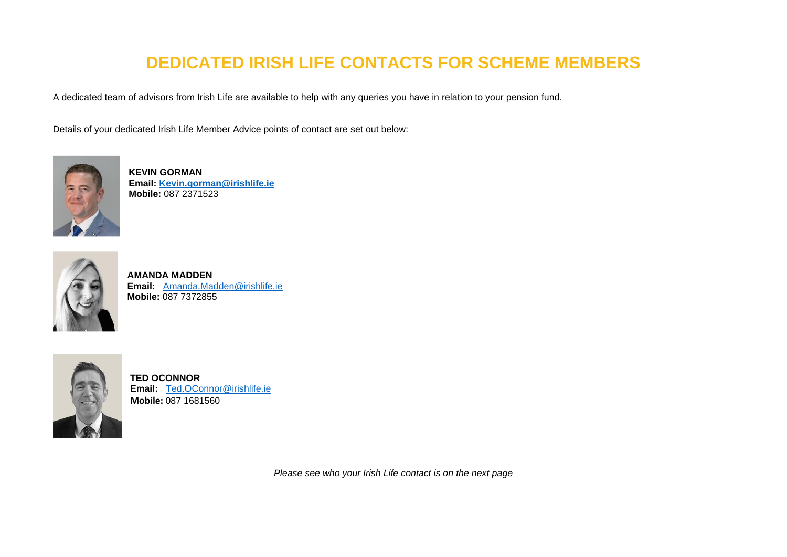## **DEDICATED IRISH LIFE CONTACTS FOR SCHEME MEMBERS**

A dedicated team of advisors from Irish Life are available to help with any queries you have in relation to your pension fund.

Details of your dedicated Irish Life Member Advice points of contact are set out below:



**KEVIN GORMAN Email: [Kevin.gorman@irishlife.ie](mailto:Kevin.gorman@irishlife.ie) Mobile:** 087 2371523



**AMANDA MADDEN Email:** [Amanda.Madden@irishlife.ie](mailto:Amanda.Madden@irishlife.ie) **Mobile:** 087 7372855



**TED OCONNOR Email:** [Ted.OConnor@irishlife.ie](mailto:Ted.OConnor@irishlife.ie) **Mobile:** 087 1681560

*Please see who your Irish Life contact is on the next page*